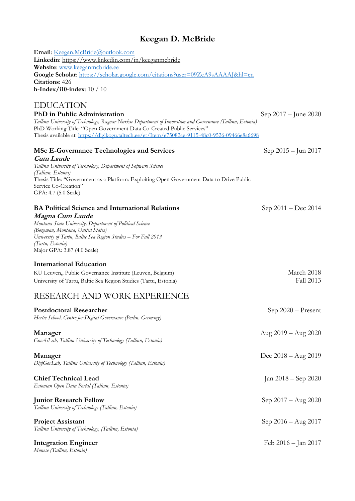# **Keegan D. McBride**

**Email**: [Keegan.McBride@outlook.com](mailto:Keegan.McBride@outlook.com) **Linkedin**:<https://www.linkedin.com/in/keeganmcbride> **Website**: [www.keeganmcbride.ee](http://www.keeganmcbride.ee/) **Google Scholar**:<https://scholar.google.com/citations?user=09ZcA9sAAAAJ&hl=en> **Citations**: 426 **h-Index/i10-index**: 10 / 10

## EDUCATION

**PhD in Public Administration** Sep 2017 – June 2020 *Tallinn University of Technology, Ragnar Nurkse Department of Innovation and Governance (Tallinn, Estonia)* PhD Working Title: "Open Government Data Co-Created Public Services" Thesis available at:<https://digikogu.taltech.ee/et/Item/e75082ae-9115-48c0-9526-09466e8a6698>

## **MSc E-Governance Technologies and Services** Sep 2015 – Jun 2017

**Cum Laude** *Tallinn University of Technology, Department of Software Science (Tallinn, Estonia)* Thesis Title: "Government as a Platform: Exploiting Open Government Data to Drive Public Service Co-Creation" GPA: 4.7 (5.0 Scale)

# **BA Political Science and International Relations** Sep 2011 – Dec 2014

**Magna Cum Laude**

*Montana State University, Department of Political Science (Bozeman, Montana, United States) University of Tartu, Baltic Sea Region Studies – For Fall 2013 (Tartu, Estonia)* Major GPA: 3.87 (4.0 Scale)

### **International Education**

| KU Leuven, Public Governance Institute (Leuven, Belgium)        | March 2018 |
|-----------------------------------------------------------------|------------|
| University of Tartu, Baltic Sea Region Studies (Tartu, Estonia) | Fall 2013  |

# RESEARCH AND WORK EXPERIENCE

| <b>Postdoctoral Researcher</b><br>Hertie School, Centre for Digital Governance (Berlin, Germany) | Sep $2020$ – Present          |
|--------------------------------------------------------------------------------------------------|-------------------------------|
| Manager<br>GovAiLab, Tallinn University of Technology (Tallinn, Estonia)                         | Aug $2019 - \text{Aug } 2020$ |
| Manager<br>DigiGovLab, Tallinn University of Technology (Tallinn, Estonia)                       | Dec $2018 - \text{Aug } 2019$ |
| <b>Chief Technical Lead</b><br>Estonian Open Data Portal (Tallinn, Estonia)                      | Jan $2018 -$ Sep $2020$       |
| <b>Junior Research Fellow</b><br>Tallinn University of Technology (Tallinn, Estonia)             | Sep $2017 - Aug 2020$         |
| <b>Project Assistant</b><br>Tallinn University of Technology, (Tallinn, Estonia)                 | Sep $2016 - Aug 2017$         |
| <b>Integration Engineer</b><br>Monese (Tallinn, Estonia)                                         | Feb $2016 -$ Jan $2017$       |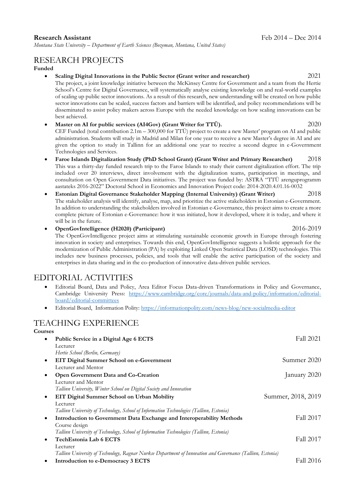*Montana State University – Department of Earth Sciences (Bozeman, Montana, United States)*

# RESEARCH PROJECTS

**Funded**

- **Scaling Digital Innovations in the Public Sector (Grant writer and researcher)** 2021 The project, a joint knowledge initiative between the McKinsey Centre for Government and a team from the Hertie School's Centre for Digital Governance, will systematically analyse existing knowledge on and real-world examples of scaling up public sector innovations. As a result of this research, new understanding will be created on how public sector innovations can be scaled, success factors and barriers will be identified, and policy recommendations will be disseminated to assist policy makers across Europe with the needed knowledge on how scaling innovations can be best achieved.
- **Master on AI for public services (AI4Gov) (Grant Writer for TTÜ).** 2020 CEF Funded (total contribution 2.1m – 300,000 for TTÜ) project to create a new Master' program on AI and public administration. Students will study in Madrid and Milan for one year to receive a new Master's degree in AI and are given the option to study in Tallinn for an additional one year to receive a second degree in e-Government Technologies and Services.
- **Faroe Islands Digitalization Study (PhD School Grant) (Grant Writer and Primary Researcher)** 2018 This was a thirty-day funded research trip to the Faroe Islands to study their current digitalization effort. The trip included over 20 interviews, direct involvement with the digitalization teams, participation in meetings, and consultation on Open Government Data initiatives. The project was funded by: ASTRA "TTÜ arenguprogramm aastateks 2016-2022" Doctoral School in Economics and Innovation Project code: 2014-2020.4.01.16-0032
- **Estonian Digital Governance Stakeholder Mapping (Internal University) (Grant Writer)** 2018 The stakeholder analysis will identify, analyse, map, and prioritize the active stakeholders in Estonian e-Government. In addition to understanding the stakeholders involved in Estonian e-Governance, this project aims to create a more complete picture of Estonian e-Governance: how it was initiated, how it developed, where it is today, and where it will be in the future.
	- **OpenGovIntelligence (H2020) (Participant)** 2016-2019 The OpenGovIntelligence project aims at stimulating sustainable economic growth in Europe through fostering innovation in society and enterprises. Towards this end, OpenGovIntelligence suggests a holistic approach for the modernization of Public Administration (PA) by exploiting Linked Open Statistical Data (LOSD) technologies. This includes new business processes, policies, and tools that will enable the active participation of the society and enterprises in data sharing and in the co-production of innovative data-driven public services.

## EDITORIAL ACTIVITIES

- Editorial Board, Data and Policy, Area Editor Focus Data-driven Transformations in Policy and Governance, Cambridge University Press: [https://www.cambridge.org/core/journals/data-and-policy/information/editorial](https://www.cambridge.org/core/journals/data-and-policy/information/editorial-board/editorial-committees)[board/editorial-committees](https://www.cambridge.org/core/journals/data-and-policy/information/editorial-board/editorial-committees)
- Editorial Board, Information Polity:<https://informationpolity.com/news-blog/new-socialmedia-editor>

## TEACHING EXPERIENCE

| Courses                                                                                                    |                    |
|------------------------------------------------------------------------------------------------------------|--------------------|
| Public Service in a Digital Age 6 ECTS<br>٠                                                                | Fall 2021          |
| Lecturer                                                                                                   |                    |
| Hertie School (Berlin, Germany)                                                                            |                    |
| EIT Digital Summer School on e-Government<br>$\bullet$                                                     | Summer 2020        |
| Lecturer and Mentor                                                                                        |                    |
| Open Government Data and Co-Creation<br>$\bullet$                                                          | January 2020       |
| Lecturer and Mentor                                                                                        |                    |
| Tallinn University, Winter School on Digital Society and Innovation                                        |                    |
| EIT Digital Summer School on Urban Mobility<br>$\bullet$                                                   | Summer, 2018, 2019 |
| Lecturer                                                                                                   |                    |
| Tallinn University of Technology, School of Information Technologies (Tallinn, Estonia)                    |                    |
| Introduction to Government Data Exchange and Interoperability Methods<br>٠                                 | Fall 2017          |
| Course design                                                                                              |                    |
| Tallinn University of Technology, School of Information Technologies (Tallinn, Estonia)                    |                    |
| TechEstonia Lab 6 ECTS                                                                                     | Fall 2017          |
| Lecturer                                                                                                   |                    |
| Tallinn University of Technology, Ragnar Nurkse Department of Innovation and Governance (Tallinn, Estonia) |                    |
| Introduction to e-Democracy 3 ECTS                                                                         | Fall 2016          |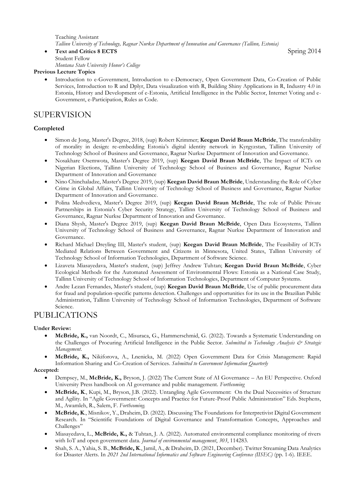Teaching Assistant *Tallinn University of Technology, Ragnar Nurkse Department of Innovation and Governance (Tallinn, Estonia)*

• **Text and Critics 8 ECTS** Spring 2014 Student Fellow

*Montana State University Honor's College*

#### **Previous Lecture Topics**

• Introduction to e-Government, Introduction to e-Democracy, Open Government Data, Co-Creation of Public Services, Introduction to R and Dplyr, Data visualization with R, Building Shiny Applications in R, Industry 4.0 in Estonia, History and Development of e-Estonia, Artificial Intelligence in the Public Sector, Internet Voting and e-Government, e-Participation, Rules as Code.

## SUPERVISION

### **Completed**

- Simon de Jong, Master's Degree, 2018, (sup) Robert Krimmer; **Keegan David Braun McBride**, The transferability of morality in design: re-embedding Estonia's digital identity network in Kyrgyzstan, Tallinn University of Technology School of Business and Governance, Ragnar Nurkse Department of Innovation and Governance.
- Nosakhare Osemwota, Master's Degree 2019, (sup) **Keegan David Braun McBride**, The Impact of ICTs on Nigerian Elections, Tallinn University of Technology School of Business and Governance, Ragnar Nurkse Department of Innovation and Governance
- Nino Chinchaladze, Master's Degree 2019, (sup) **Keegan David Braun McBride**, Understanding the Role of Cyber Crime in Global Affairs, Tallinn University of Technology School of Business and Governance, Ragnar Nurkse Department of Innovation and Governance.
- Polina Medvedieva, Master's Degree 2019, (sup) **Keegan David Braun McBride**, The role of Public Private Partnerships in Estonia's Cyber Security Strategy, Tallinn University of Technology School of Business and Governance, Ragnar Nurkse Department of Innovation and Governance.
- Diana Shysh, Master's Degree 2019, (sup) **Keegan David Braun McBride**, Open Data Ecosystems, Tallinn University of Technology School of Business and Governance, Ragnar Nurkse Department of Innovation and Governance.
- Richard Michael Dreyling III, Master's student, (sup) **Keegan David Braun McBride**, The Feasibility of ICTs Mediated Relations Between Government and Citizens in Minnesota, United States, Tallinn University of Technology School of Information Technologies, Department of Software Science.
- Lizaveta Miasayedava, Master's student, (sup) Jeffrey Andrew Tuhtan; **Keegan David Braun McBride**, Cyber Ecological Methods for the Automated Assessment of Environmental Flows: Estonia as a National Case Study, Tallinn University of Technology School of Information Technologies, Department of Computer Systems.
- Andre Lezan Fernandes, Master's student, (sup) **Keegan David Braun McBride**, Use of public procurement data for fraud and population-specific patterns detection. Challenges and opportunities for its use in the Brazilian Public Administration, Tallinn University of Technology School of Information Technologies, Department of Software Science.

## PUBLICATIONS

#### **Under Review:**

- **McBride, K.,** van Noordt, C., Misuraca, G., Hammerschmid, G. (2022). Towards a Systematic Understanding on the Challenges of Procuring Artificial Intelligence in the Public Sector. *Submitted to Technology Analysis & Strategic Management*.
- **McBride, K.,** Nikiforova, A., Lnenicka, M. (2022) Open Government Data for Crisis Management: Rapid Information Sharing and Co-Creation of Services. *Submitted to Government Information Quarterly*

#### **Accepted:**

- Dempsey, M., **McBride, K.,** Bryson, J. (2022) The Current State of AI Governance An EU Perspective. Oxford University Press handbook on AI governance and public management. *Forthcoming*
- **McBride, K**., Kupi, M., Bryson, J.B. (2022). Untangling Agile Government: On the Dual Necessities of Structure and Agility. In "Agile Government: Concepts and Practice for Future-Proof Public Administration" Eds. Stephens, M., Awamleh, R., Salem, F. *Forthcoming.*
- **McBride, K**., Misnikov, Y., Draheim, D. (2022). Discussing The Foundations for Interpretivist Digital Government Research. In "Scientific Foundations of Digital Governance and Transformation Concepts, Approaches and Challenges"
- Miasayedava, L., **McBride, K.,** & Tuhtan, J. A. (2022). Automated environmental compliance monitoring of rivers with IoT and open government data. *Journal of environmental management*, *303*, 114283.
- Shah, S. A., Yahia, S. B., **McBride, K**., Jamil, A., & Draheim, D. (2021, December). Twitter Streaming Data Analytics for Disaster Alerts. In *2021 2nd International Informatics and Software Engineering Conference (IISEC)* (pp. 1-6). IEEE.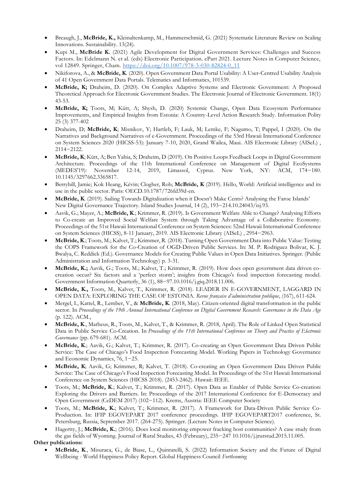- Breaugh, J., **McBride, K.,** Kleinaltenkamp, M., Hammerschmid, G. (2021) Systematic Literature Review on Scaling Innovations. Sustainability. 13(24).
- Kupi M., **McBride K.** (2021) Agile Development for Digital Government Services: Challenges and Success Factors. In: Edelmann N. et al. (eds) Electronic Participation. ePart 2021. Lecture Notes in Computer Science, vol 12849. Springer, Cham. [https://doi.org/10.1007/978-3-030-82824-0\\_11](https://doi.org/10.1007/978-3-030-82824-0_11)
- Nikiforova, A., & **McBride, K**. (2020). Open Government Data Portal Usability: A User-Centred Usability Analysis of 41 Open Government Data Portals. Telematics and Informatics, 101539.
- **McBride, K;** Draheim, D. (2020). On Complex Adaptive Systems and Electronic Government: A Proposed Theoretical Approach for Electronic Government Studies. The Electronic Journal of Electronic Government. 18(1) 43-53.
- **McBride, K;** Toots, M; Kütt, A; Shysh, D. (2020) Systemic Change, Open Data Ecosystem Performance Improvements, and Empirical Insights from Estonia: A Country-Level Action Research Study. Information Polity 25 (3) 377-402
- Draheim, D; **McBride, K**; Misnikov, Y; Hartleb, F; Lauk, M; Lemke, F; Nagumo, T; Pappel, I (2020). On the Narratives and Background Narratives of e-Government. Proceedings of the 53rd Hawaii International Conference on System Sciences 2020 (HICSS-53): January 7-10, 2020, Grand Wailea, Maui. AIS Electronic Library (AISeL) , 2114−2122.
- **McBride, K**; Kütt, A; Ben Yahia, S; Draheim, D (2019). On Positive Loops Feedback Loops in Digital Government Architecture. Proceedings of the 11th International Conference on Management of Digital EcoSystems (MEDES'19): November 12-14, 2019, Limassol, Cyprus. New York, NY: ACM, 174−180. 10.1145/3297662.3365817.
- Berryhill, Jamie; Kok Heang, Kévin; Clogher, Rob; **McBride, K** (2019). Hello, World: Artificial intelligence and its use in the public sector. Paris: OECD.10.1787/726fd39d-en.
- **McBride, K**. (2019). Sailing Towards Digitalization when it Doesn't Make Cents? Analysing the Faroe Islands' New Digital Governance Trajectory. Island Studies Journal, 14 (2), 193−214.10.24043/isj.93.
- Aavik, G.; Mayer, A.; **McBride, K**.; Krimmer, R. (2019). Is Government Welfare Able to Change? Analysing Efforts to Co-create an Improved Social Welfare System through Taking Advantage of a Collaborative Economy. Proceedings of the 51st Hawaii International Conference on System Sciences: 52nd Hawaii International Conference on System Sciences (HICSS), 8-11 January, 2019. AIS Electronic Library (AISeL) , 2954−2963.
- **McBride, K**.; Toots, M.; Kalvet, T.; Krimmer, R. (2018). Turning Open Government Data into Public Value: Testing the COPS Framework for the Co-Creation of OGD-Driven Public Services. In: M. P. Rodriguez Bolivar, K. J. Bwalya, C. Reddick (Ed.). Governance Models for Creating Public Values in Open Data Initiatives. Springer. (Public Administration and Information Technology) p. 3-31.
- **McBride, K.;** Aavik, G.; Toots, M.; Kalvet, T.; Krimmer, R. (2019). How does open government data driven cocreation occur? Six factors and a 'perfect storm'; insights from Chicago's food inspection forecasting model. Government Information Quarterly, 36 (1), 88−97.10.1016/j.giq.2018.11.006.
- **McBride, K.,** Toots, M., Kalvet, T., Krimmer, R. (2018). LEADER IN E-GOVERNMENT, LAGGARD IN OPEN DATA: EXPLORING THE CASE OF ESTONIA. *Revue française d'administration publique*, (167), 611-624.
- Mergel, I., Kattel, R., Lember, V., & **McBride, K**. (2018, May). Citizen-oriented digital transformation in the public sector. In *Proceedings of the 19th Annual International Conference on Digital Government Research: Governance in the Data Age*  (p. 122). ACM.,
- **McBride, K**., Matheus, R., Toots, M., Kalvet, T., & Krimmer, R. (2018, April). The Role of Linked Open Statistical Data in Public Service Co-Creation. In *Proceedings of the 11th International Conference on Theory and Practice of Electronic Governance* (pp. 679-681). ACM.
- **McBride, K**.; Aavik, G.; Kalvet, T.; Krimmer, R. (2017). Co-creating an Open Government Data Driven Public Service: The Case of Chicago's Food Inspection Forecasting Model. Working Papers in Technology Governance and Economic Dynamics, 76, 1−25.
- **McBride, K**; Aavik, G; Krimmer, R; Kalvet, T. (2018). Co-creating an Open Government Data Driven Public Service: The Case of Chicago's Food Inspection Forecasting Model. In Proceedings of the 51st Hawaii International Conference on System Sciences (HICSS 2018). (2453-2462). Hawaii: IEEE.
- Toots, M.; **McBride, K**.; Kalvet, T.; Krimmer, R. (2017). Open Data as Enabler of Public Service Co-creation: Exploring the Drivers and Barriers. In: Proceedings of the 2017 International Conference for E-Democracy and Open Government (CeDEM 2017) (102−112). Krems, Austria: IEEE Computer Society
- Toots, M.; **McBride, K.**; Kalvet, T.; Krimmer, R. (2017). A Framework for Data-Driven Public Service Co-Production. In: IFIP EGOVEPART 2017 conference proceedings. IFIP EGOVEPART2017 conference, St. Petersburg, Russia, September 2017. (264-275). Springer. (Lecture Notes in Computer Science).
- Hagertty, J.; **McBride, K.**; (2016). Does local monitoring empower fracking host communities? A case study from the gas fields of Wyoming. Journal of Rural Studies, 43 (February), 235−247 10.1016/j.jrurstud.2015.11.005.

**Other publications:**

• **McBride, K**., Misuraca, G., de Biase, L., Quintarelli, S. (2022) Information Society and the Future of Digital Wellbeing - World Happiness Policy Report. Global Happiness Council *Forthcoming*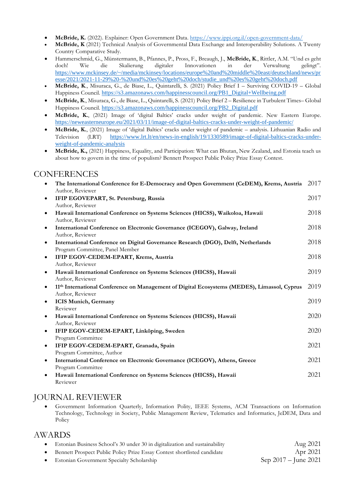- **McBride, K.** (2022). Explainer: Open Government Data.<https://www.ippi.org.il/open-government-data/>
- **McBride, K** (2021) Technical Analysis of Governmental Data Exchange and Interoperability Solutions. A Twenty Country Comparative Study*.*
- Hammerschmid, G., Münstermann, B., Pfannes, P., Pross, F., Breaugh, J., **McBride, K**., Rittler, A.M. "Und es geht doch! Wie die Skalierung digitaler Innovationen in der Verwaltung gelingt". [https://www.mckinsey.de/~/media/mckinsey/locations/europe%20and%20middle%20east/deutschland/news/pr](https://www.mckinsey.de/~/media/mckinsey/locations/europe%20and%20middle%20east/deutschland/news/presse/2021/2021-11-29%20-%20und%20es%20geht%20doch/studie_und%20es%20geht%20doch.pdf) [esse/2021/2021-11-29%20-%20und%20es%20geht%20doch/studie\\_und%20es%20geht%20doch.pdf](https://www.mckinsey.de/~/media/mckinsey/locations/europe%20and%20middle%20east/deutschland/news/presse/2021/2021-11-29%20-%20und%20es%20geht%20doch/studie_und%20es%20geht%20doch.pdf)
- **McBride, K**., Misuraca, G., de Biase, L., Quintarelli, S. (2021) Policy Brief I Surviving COVID-19 Global Happiness Council. [https://s3.amazonaws.com/happinesscouncil.org/PB1\\_Digital+Wellbeing.pdf](https://s3.amazonaws.com/happinesscouncil.org/PB1_Digital+Wellbeing.pdf)
- **McBride, K**., Misuraca, G., de Biase, L., Quintarelli, S. (2021) Policy Brief 2 Resilience in Turbulent Times– Global Happiness Council. [https://s3.amazonaws.com/happinesscouncil.org/PB2\\_Digital.pdf](https://s3.amazonaws.com/happinesscouncil.org/PB2_Digital.pdf)
- **McBride, K.**, (2021) Image of 'digital Baltics' cracks under weight of pandemic. New Eastern Europe. <https://neweasterneurope.eu/2021/03/11/image-of-digital-baltics-cracks-under-weight-of-pandemic/>
- **McBride, K.**, (2021) Image of 'digital Baltics' cracks under weight of pandemic analysis. Lithuanian Radio and Television (LRT) [https://www.lrt.lt/en/news-in-english/19/1330589/image-of-digital-baltics-cracks-under](https://www.lrt.lt/en/news-in-english/19/1330589/image-of-digital-baltics-cracks-under-weight-of-pandemic-analysis)[weight-of-pandemic-analysis](https://www.lrt.lt/en/news-in-english/19/1330589/image-of-digital-baltics-cracks-under-weight-of-pandemic-analysis)
- **McBride, K.,** (2021) Happiness, Equality, and Participation: What can Bhutan, New Zealand, and Estonia teach us about how to govern in the time of populism? Bennett Prospect Public Policy Prize Essay Contest.

# **CONFERENCES**

| $\bullet$ | The International Conference for E-Democracy and Open Government (CeDEM), Krems, Austria<br>Author, Reviewer         | 2017 |
|-----------|----------------------------------------------------------------------------------------------------------------------|------|
| $\bullet$ | IFIP EGOVEPART, St. Petersburg, Russia                                                                               | 2017 |
|           | Author, Reviewer                                                                                                     |      |
| $\bullet$ | Hawaii International Conference on Systems Sciences (HICSS), Waikoloa, Hawaii<br>Author, Reviewer                    | 2018 |
| $\bullet$ | International Conference on Electronic Governance (ICEGOV), Galway, Ireland<br>Author, Reviewer                      | 2018 |
| $\bullet$ | International Conference on Digital Governance Research (DGO), Delft, Netherlands<br>Program Committee, Panel Member | 2018 |
| $\bullet$ | IFIP EGOV-CEDEM-EPART, Krems, Austria<br>Author, Reviewer                                                            | 2018 |
| $\bullet$ | Hawaii International Conference on Systems Sciences (HICSS), Hawaii<br>Author, Reviewer                              | 2019 |
| $\bullet$ | 11th International Conference on Management of Digital Ecosystems (MEDES), Limassol, Cyprus<br>Author, Reviewer      | 2019 |
| $\bullet$ | <b>ICIS Munich, Germany</b><br>Reviewer                                                                              | 2019 |
| $\bullet$ | Hawaii International Conference on Systems Sciences (HICSS), Hawaii<br>Author, Reviewer                              | 2020 |
| $\bullet$ | IFIP EGOV-CEDEM-EPART, Linköping, Sweden                                                                             | 2020 |
| $\bullet$ | Program Committee<br>IFIP EGOV-CEDEM-EPART, Granada, Spain                                                           | 2021 |
|           | Program Committee, Author                                                                                            |      |
| $\bullet$ | International Conference on Electronic Governance (ICEGOV), Athens, Greece<br>Program Committee                      | 2021 |
| $\bullet$ | Hawaii International Conference on Systems Sciences (HICSS), Hawaii<br>Reviewer                                      | 2021 |

# JOURNAL REVIEWER

• Government Information Quarterly, Information Polity, IEEE Systems, ACM Transactions on Information Technology, Technology in Society, Public Management Review, Telematics and Informatics, JeDEM, Data and Policy

## AWARDS

| Estonian Business School's 30 under 30 in digitalization and sustainability | Aug 2021               |
|-----------------------------------------------------------------------------|------------------------|
| Bennett Prospect Public Policy Prize Essay Contest shortlisted candidate    | Apr 2021               |
| Estonian Government Specialty Scholarship                                   | Sep $2017 -$ June 2021 |